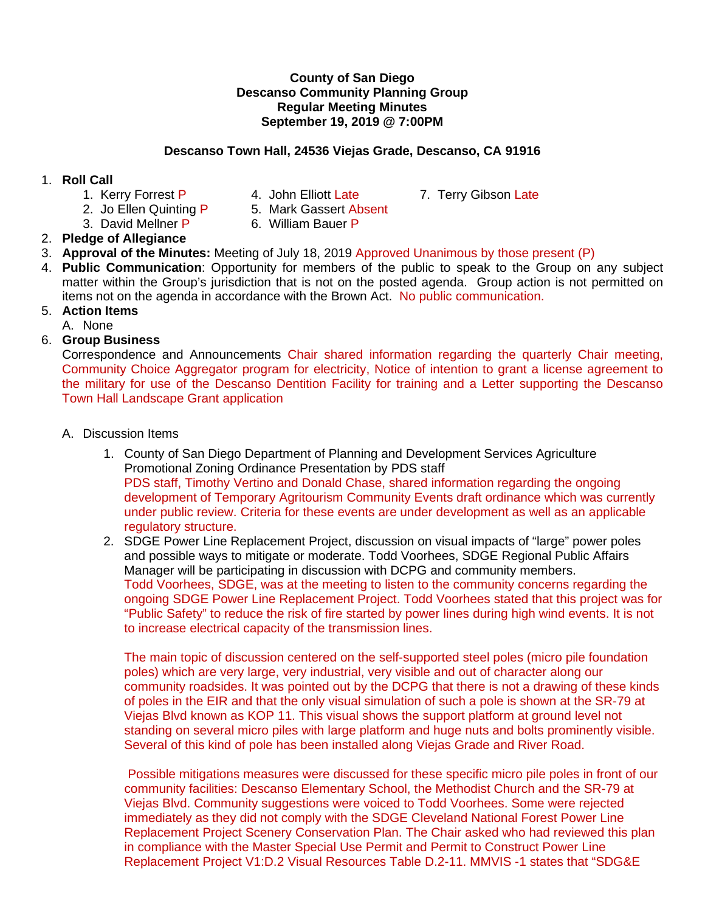#### **County of San Diego Descanso Community Planning Group Regular Meeting Minutes September 19, 2019 @ 7:00PM**

## **Descanso Town Hall, 24536 Viejas Grade, Descanso, CA 91916**

### 1. **Roll Call**

- 
- 1. Kerry Forrest P 4. John Elliott Late 7. Terry Gibson Late
- 
- 2. Jo Ellen Quinting P 5. Mark Gassert Absent
- 3. David Mellner P 6. William Bauer P

# 2. **Pledge of Allegiance**

- 3. **Approval of the Minutes:** Meeting of July 18, 2019 Approved Unanimous by those present (P)
- 4. **Public Communication**: Opportunity for members of the public to speak to the Group on any subject matter within the Group's jurisdiction that is not on the posted agenda. Group action is not permitted on items not on the agenda in accordance with the Brown Act. No public communication.
- 5. **Action Items**

A. None

6. **Group Business**

Correspondence and Announcements Chair shared information regarding the quarterly Chair meeting, Community Choice Aggregator program for electricity, Notice of intention to grant a license agreement to the military for use of the Descanso Dentition Facility for training and a Letter supporting the Descanso Town Hall Landscape Grant application

- A. Discussion Items
	- 1. County of San Diego Department of Planning and Development Services Agriculture Promotional Zoning Ordinance Presentation by PDS staff PDS staff, Timothy Vertino and Donald Chase, shared information regarding the ongoing development of Temporary Agritourism Community Events draft ordinance which was currently under public review. Criteria for these events are under development as well as an applicable regulatory structure.
	- 2. SDGE Power Line Replacement Project, discussion on visual impacts of "large" power poles and possible ways to mitigate or moderate. Todd Voorhees, SDGE Regional Public Affairs Manager will be participating in discussion with DCPG and community members. Todd Voorhees, SDGE, was at the meeting to listen to the community concerns regarding the ongoing SDGE Power Line Replacement Project. Todd Voorhees stated that this project was for "Public Safety" to reduce the risk of fire started by power lines during high wind events. It is not to increase electrical capacity of the transmission lines.

The main topic of discussion centered on the self-supported steel poles (micro pile foundation poles) which are very large, very industrial, very visible and out of character along our community roadsides. It was pointed out by the DCPG that there is not a drawing of these kinds of poles in the EIR and that the only visual simulation of such a pole is shown at the SR-79 at Viejas Blvd known as KOP 11. This visual shows the support platform at ground level not standing on several micro piles with large platform and huge nuts and bolts prominently visible. Several of this kind of pole has been installed along Viejas Grade and River Road.

Possible mitigations measures were discussed for these specific micro pile poles in front of our community facilities: Descanso Elementary School, the Methodist Church and the SR-79 at Viejas Blvd. Community suggestions were voiced to Todd Voorhees. Some were rejected immediately as they did not comply with the SDGE Cleveland National Forest Power Line Replacement Project Scenery Conservation Plan. The Chair asked who had reviewed this plan in compliance with the Master Special Use Permit and Permit to Construct Power Line Replacement Project V1:D.2 Visual Resources Table D.2-11. MMVIS -1 states that "SDG&E